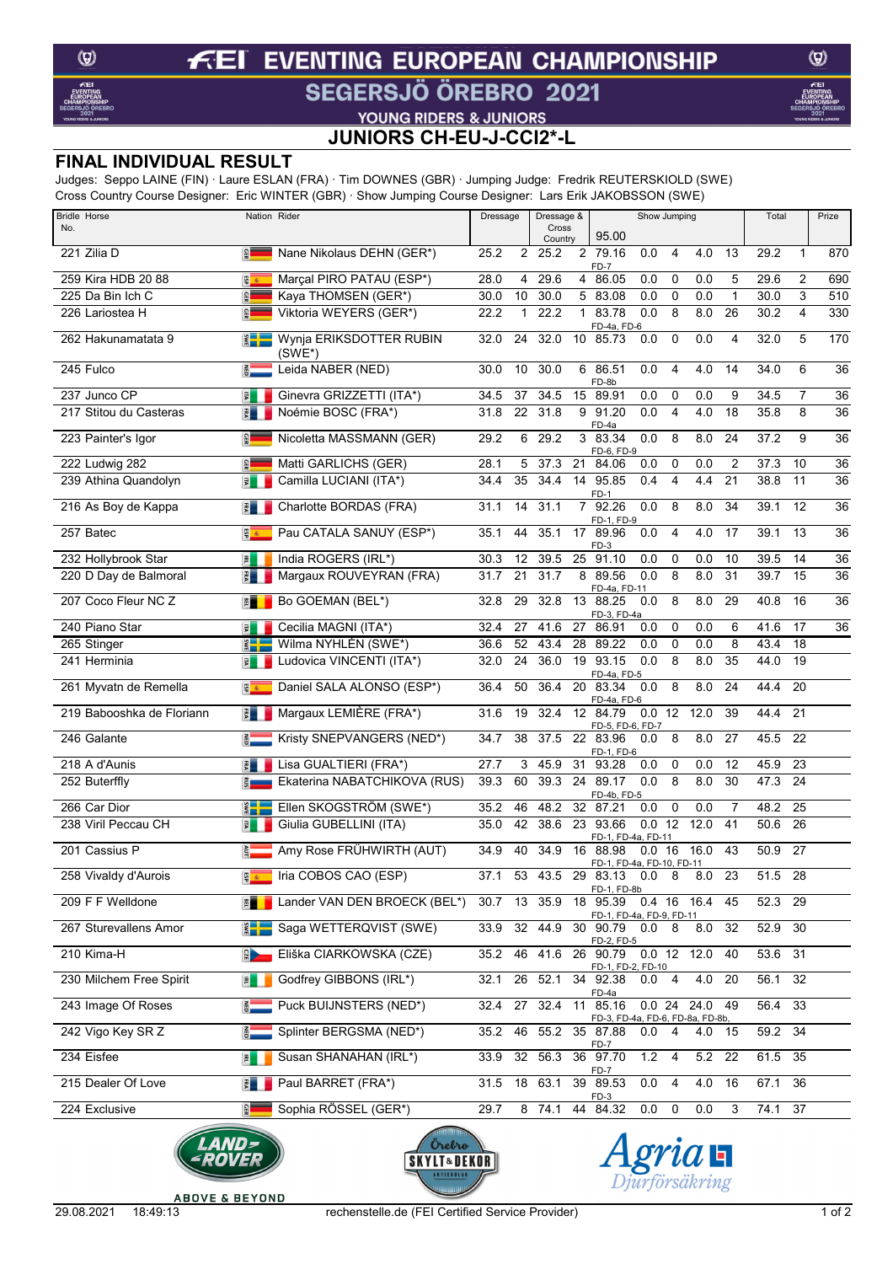#### **EVENTING EUROPEAN CHAMPIONSHIP** f ΞI

## SEGERSJÖ ÖREBRO 2021

 $\circledcirc$ 

# **VOUNG RIDERS & JUNIORS<br>JUNIORS CH-EU-J-CCI2\*-L**

### **FINAL INDIVIDUAL RESULT**

Judges: Seppo LAINE (FIN) · Laure ESLAN (FRA) · Tim DOWNES (GBR) · Jumping Judge: Fredrik REUTERSKIOLD (SWE) Cross Country Course Designer: Eric WINTER (GBR) · Show Jumping Course Designer: Lars Erik JAKOBSSON (SWE)

| <b>Bridle Horse</b>       | Cioss Country Course Designer. End Will LEN (ODIN) Tonow Jumping Course Designer. Ears Enk JANODOOON (OWE)<br>Nation Rider | Dressage                | Dressage &<br>Show Jumping |                                                             |                       | Total  |                | Prize   |                 |                 |
|---------------------------|----------------------------------------------------------------------------------------------------------------------------|-------------------------|----------------------------|-------------------------------------------------------------|-----------------------|--------|----------------|---------|-----------------|-----------------|
| No.                       |                                                                                                                            |                         | Cross<br>Country           | 95.00                                                       |                       |        |                |         |                 |                 |
| 221 Zilia D               | Nane Nikolaus DEHN (GER*)<br>$\mathbf{G}^{\mathbf{G}}$                                                                     | 25.2<br>2               | 25.2                       | 2 79.16<br>FD-7                                             | 0.0<br>4              | 4.0    | 13             | 29.2    | 1               | 870             |
| 259 Kira HDB 20 88        | <b>ED</b><br>Marçal PIRO PATAU (ESP*)                                                                                      | 28.0<br>4               | 29.6                       | 86.05<br>4                                                  | 0.0<br>$\mathbf 0$    | 0.0    | 5              | 29.6    | $\overline{2}$  | 690             |
| 225 Da Bin Ich C          | GER<br>Kaya THOMSEN (GER*)                                                                                                 | 30.0<br>10              | 30.0                       | 5 83.08                                                     | 0.0<br>$\mathbf 0$    | 0.0    | $\mathbf{1}$   | 30.0    | 3               | 510             |
| 226 Lariostea H           | Viktoria WEYERS (GER*)<br><b>GER</b>                                                                                       | 22.2<br>1               | 22.2                       | 83.78<br>$\mathbf{1}$<br>FD-4a, FD-6                        | 0.0<br>8              | 8.0    | 26             | 30.2    | 4               | 330             |
| 262 Hakunamatata 9        | Wynja ERIKSDOTTER RUBIN<br>$\frac{2}{3}$<br>(SWE*)                                                                         | 32.0<br>24              | 32.0                       | 10 85.73                                                    | $\mathbf 0$<br>0.0    | 0.0    | 4              | 32.0    | 5               | 170             |
| 245 Fulco                 | Leida NABER (NED)<br>$rac{2}{5}$                                                                                           | 10<br>30.0              | 30.0                       | 86.51<br>6<br>FD-8b                                         | $\overline{4}$<br>0.0 | 4.0    | 14             | 34.0    | 6               | 36              |
| 237 Junco CP              | Ginevra GRIZZETTI (ITA*)<br>$\mathbb{E}% _{0}\left( \mathbb{Z}^{\right) }$                                                 | 37<br>34.5              | 34.5                       | 15<br>89.91                                                 | 0.0<br>$\mathbf 0$    | 0.0    | 9              | 34.5    | $\overline{7}$  | $\overline{36}$ |
| 217 Stitou du Casteras    | Noémie BOSC (FRA*)<br>$\frac{1}{2}$                                                                                        | 22<br>31.8              | 31.8                       | 9<br>91.20                                                  | 0.0<br>$\overline{4}$ | 4.0    | 18             | 35.8    | 8               | 36              |
| 223 Painter's Igor        | Nicoletta MASSMANN (GER)<br><b>GER</b>                                                                                     | 29.2<br>6               | 29.2                       | FD-4a<br>3 83.34<br>FD-6, FD-9                              | 0.0<br>8              | 8.0    | 24             | 37.2    | 9               | $\overline{36}$ |
| 222 Ludwig 282            | <b>BB</b><br>Matti GARLICHS (GER)                                                                                          | 28.1<br>5               | 37.3                       | 21<br>84.06                                                 | 0<br>0.0              | 0.0    | $\overline{2}$ | 37.3    | 10              | $\overline{36}$ |
| 239 Athina Quandolyn      | Camilla LUCIANI (ITA*)<br>园                                                                                                | 35<br>34.4              | 34.4                       | 14 95.85<br>FD-1                                            | 0.4<br>$\overline{4}$ | 4.4    | 21             | 38.8    | 11              | $\overline{36}$ |
| 216 As Boy de Kappa       | Charlotte BORDAS (FRA)<br>$\frac{1}{\kappa}$                                                                               | 31.1<br>14              | 31.1                       | 7 92.26<br>FD-1, FD-9                                       | 0.0<br>8              | 8.0    | 34             | 39.1    | 12              | 36              |
| 257 Batec                 | Pau CATALA SANUY (ESP*)<br>ESP                                                                                             | 35.1<br>44              | 35.1                       | 17 89.96                                                    | 0.0<br>$\overline{4}$ | 4.0    | 17             | 39.1    | 13              | $\overline{36}$ |
| 232 Hollybrook Star       | India ROGERS (IRL*)<br>$\overline{P}$                                                                                      | 30.3<br>12              | 39.5                       | FD-3<br>25<br>91.10                                         | 0.0<br>0              | 0.0    | 10             | 39.5    | 14              | 36              |
| 220 D Day de Balmoral     | Margaux ROUVEYRAN (FRA)<br>引                                                                                               | 21<br>31.7              | 31.7                       | 8<br>89.56                                                  | 0.0<br>8              | 8.0    | 31             | 39.7    | 15              | $\overline{36}$ |
| 207 Coco Fleur NC Z       | Bo GOEMAN (BEL*)<br>潭                                                                                                      | 29<br>32.8              | 32.8                       | FD-4a, FD-11<br>13 88.25<br>FD-3, FD-4a                     | 8<br>0.0              | 8.0    | 29             | 40.8    | 16              | 36              |
| 240 Piano Star            | Cecilia MAGNI (ITA*)<br>国                                                                                                  | 27<br>32.4              | 41.6                       | 27 86.91                                                    | $\mathbf 0$<br>0.0    | 0.0    | 6              | 41.6    | 17              | $\overline{36}$ |
| 265 Stinger               | Wilma NYHLÉN (SWE*)<br>$\frac{2}{3}$                                                                                       | 52<br>36.6              | 43.4                       | 89.22<br>28                                                 | 0.0<br>0              | 0.0    | 8              | 43.4    | $\overline{18}$ |                 |
| 241 Herminia              | Ludovica VINCENTI (ITA*)<br>国                                                                                              | 24<br>32.0              | 36.0                       | 19 93.15                                                    | 0.0<br>8              | 8.0    | 35             | 44.0    | 19              |                 |
| 261 Myvatn de Remella     | Daniel SALA ALONSO (ESP*)<br>图 2                                                                                           | 50<br>36.4              | 36.4                       | FD-4a, FD-5<br>20 83.34<br>FD-4a, FD-6                      | 8<br>0.0              | 8.0    | 24             | 44.4    | 20              |                 |
| 219 Babooshka de Floriann | Margaux LEMIÈRE (FRA*)<br>$\frac{1}{5}$                                                                                    | 31.6<br>19              | 32.4                       | 12 84.79                                                    | 0.0 12                | 12.0   | 39             | 44.4    | 21              |                 |
| 246 Galante               | Kristy SNEPVANGERS (NED*)<br>$rac{1}{10}$                                                                                  | 34.7<br>38              | 37.5                       | FD-5, FD-6, FD-7<br>22 83.96<br>FD-1, FD-6                  | 8<br>0.0              | 8.0    | 27             | 45.5    | 22              |                 |
| 218 A d'Aunis             | Lisa GUALTIERI (FRA*)<br>$\frac{1}{2}$                                                                                     | 27.7<br>3               | 45.9                       | 31 93.28                                                    | $\mathbf 0$<br>0.0    | 0.0    | 12             | 45.9    | 23              |                 |
| 252 Buterffly             | Ekaterina NABATCHIKOVA (RUS)<br><u>និ=</u>                                                                                 | 39.3<br>60              | 39.3                       | 24<br>89.17<br>FD-4b, FD-5                                  | 8<br>0.0              | 8.0    | 30             | 47.3    | 24              |                 |
| 266 Car Dior              | Ellen SKOGSTRÖM (SWE*)<br>$\mathbf{S}$                                                                                     | 35.2<br>46              | 48.2                       | 32 87.21                                                    | $\mathbf 0$<br>0.0    | 0.0    | $\overline{7}$ | 48.2    | 25              |                 |
| 238 Viril Peccau CH       | Giulia GUBELLINI (ITA)<br>量                                                                                                | 42<br>35.0              | 38.6                       | 93.66<br>23                                                 | 0.0<br>12             | 12.0   | 41             | 50.6    | 26              |                 |
| 201 Cassius P             | Amy Rose FRÜHWIRTH (AUT)<br>È.                                                                                             | 34.9<br>40              | 34.9                       | FD-1, FD-4a, FD-11<br>16 88.98<br>FD-1, FD-4a, FD-10, FD-11 | 0.0 16                | 16.0   | 43             | 50.9 27 |                 |                 |
| 258 Vivaldy d'Aurois      | Iria COBOS CAO (ESP)                                                                                                       |                         |                            | 53 43.5 29 83.13 0.0 8                                      |                       | 8.0 23 |                | 51.5 28 |                 |                 |
| 209 F F Welldone          | Lander VAN DEN BROECK (BEL*)<br>門                                                                                          | 13<br>30.7              | 35.9                       | FD-1, FD-8b<br>18 95.39<br><u>FD-1, FD-4a, FD-9, FD-11</u>  | 0.4 16 16.4           |        | 45             | 52.3 29 |                 |                 |
| 267 Sturevallens Amor     | Saga WETTERQVIST (SWE)                                                                                                     | 32<br>33.9              | 44.9                       | 30 90.79                                                    | 8<br>0.0              | 8.0    | 32             | 52.9    | 30              |                 |
| 210 Kima-H                | Eliška CIARKOWSKA (CZE)<br>$\frac{1}{2}$                                                                                   | 46<br>35.2              | 41.6                       | FD-2, FD-5<br>26 90.79 0.0 12 12.0                          |                       |        | 40             | 53.6 31 |                 |                 |
| 230 Milchem Free Spirit   | Godfrey GIBBONS (IRL*)<br>国                                                                                                | 26<br>32.1              | 52.1                       | FD-1, FD-2, FD-10<br>34 92.38                               | 4<br>0.0              | 4.0    | 20             | 56.1    | 32              |                 |
| 243 Image Of Roses        | Puck BUIJNSTERS (NED*)<br>$rac{2}{9}$                                                                                      | 27<br>32.4              | 32.4                       | FD-4a<br>11 85.16                                           | 0.02424.0             |        | 49             | 56.4 33 |                 |                 |
| 242 Vigo Key SR Z         | Splinter BERGSMA (NED*)<br>$\overline{5}$                                                                                  | 46<br>35.2              | 55.2                       | FD-3, FD-4a, FD-6, FD-8a, FD-8b,<br>35 87.88                | 0.0<br>4              | 4.0 15 |                | 59.2 34 |                 |                 |
| 234 Eisfee                | Susan SHANAHAN (IRL*)<br>国                                                                                                 | 32 <sup>2</sup><br>33.9 | 56.3                       | FD-7<br>36 97.70                                            | 1.2<br>4              | 5.2 22 |                | 61.5    | 35              |                 |
| 215 Dealer Of Love        | Paul BARRET (FRA*)<br>$\frac{1}{2}$                                                                                        | 31.5                    | 18 63.1                    | FD-7<br>39 89.53                                            | 0.0<br>$\overline{4}$ | 4.0    | 16             | 67.1    | 36              |                 |
| 224 Exclusive             | <b>GER</b><br>Sophia RÖSSEL (GER*)                                                                                         | 29.7                    | 8 74.1                     | $FD-3$<br>44 84.32                                          | 0.0<br>0              | 0.0    | 3              | 74.1    | 37              |                 |







**ABOVE & BEYOND**